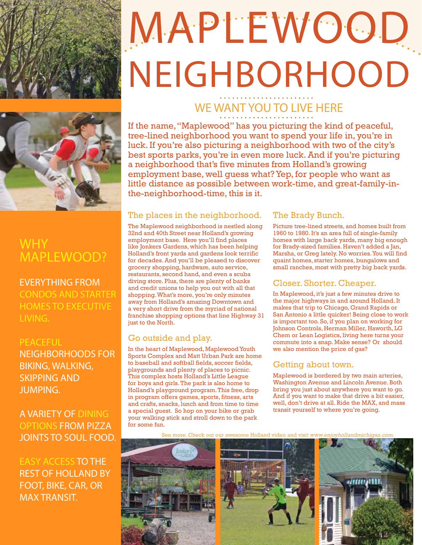

# MAPLEWOOD NEIGHBORHOOD



### WHY MAPLEWOOD?

#### EVERYTHING FROM CONDOS AND STARTER HOMES TO EXECUTIVE LIVING.

#### **PEACEFUL**

NEIGHBORHOODS FOR BIKING, WALKING, SKIPPING AND JUMPING.

#### A VARIETY OF DINING OPTIONS FROM PIZZA JOINTS TO SOUL FOOD.

EASY ACCESS TO THE REST OF HOLLAND BY FOOT, BIKE, CAR, OR MAX TRANSIT.

## WE WANT YOU TO LIVE HERE

If the name, "Maplewood" has you picturing the kind of peaceful, tree-lined neighborhood you want to spend your life in, you're in luck. If you're also picturing a neighborhood with two of the city's best sports parks, you're in even more luck. And if you're picturing a neighborhood that's five minutes from Holland's growing employment base, well guess what? Yep, for people who want as little distance as possible between work-time, and great-family-inthe-neighborhood-time, this is it.

#### The places in the neighborhood.

The Maplewood neighborhood is nestled along 32nd and 40th Street near Holland's growing employment base. Here you'll find places like Jonkers Gardens, which has been helping Holland's front yards and gardens look terrific for decades. And you'll be pleased to discover grocery shopping, hardware, auto service, restaurants, second hand, and even a scuba diving store. Plus, there are plenty of banks and credit unions to help you out with all that shopping. What's more, you're only minutes away from Holland's amazing Downtown and a very short drive from the myriad of national franchise shopping options that line Highway 31 just to the North.

#### Go outside and play.

In the heart of Maplewood, Maplewood Youth Sports Complex and Matt Urban Park are home to baseball and softball fields, soccer fields, playgrounds and plenty of places to picnic. This complex hosts Holland's Little League for boys and girls. The park is also home to Holland's playground program. This free, drop in program offers games, sports, fitness, arts and crafts, snacks, lunch and from time to time a special guest. So hop on your bike or grab your walking stick and stroll down to the park for some fun.

#### The Brady Bunch.

Picture tree-lined streets, and homes built from 1960 to 1980. It's an area full of single-family homes with large back yards, many big enough for Brady-sized families. Haven't added a Jan, Marsha, or Greg lately. No worries. You will find quaint homes, starter homes, bungalows and small ranches, most with pretty big back yards.

#### Closer. Shorter. Cheaper.

In Maplewood, it's just a few minutes drive to the major highways in and around Holland. It makes that trip to Chicago, Grand Rapids or San Antonio a little quicker! Being close to work is important too. So, if you plan on working for Johnson Controls, Herman Miller, Haworth, LG Chem or Lean Logistics, living here turns your commute into a snap. Make sense? Or should we also mention the price of gas?

#### Getting about town.

Maplewood is bordered by two main arteries, Washington Avenue and Lincoln Avenue. Both bring you just about anywhere you want to go. And if you want to make that drive a bit easier, well, don't drive at all. Ride the MAX, and mass transit yourself to where you're going.

more. Check out our awesome Holland video and visit www.enjoyhollandmichigan.com